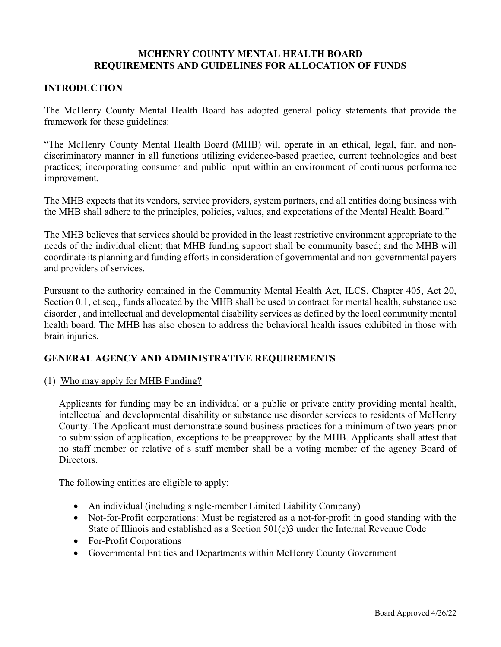## **MCHENRY COUNTY MENTAL HEALTH BOARD REQUIREMENTS AND GUIDELINES FOR ALLOCATION OF FUNDS**

## **INTRODUCTION**

The McHenry County Mental Health Board has adopted general policy statements that provide the framework for these guidelines:

"The McHenry County Mental Health Board (MHB) will operate in an ethical, legal, fair, and nondiscriminatory manner in all functions utilizing evidence-based practice, current technologies and best practices; incorporating consumer and public input within an environment of continuous performance improvement.

The MHB expects that its vendors, service providers, system partners, and all entities doing business with the MHB shall adhere to the principles, policies, values, and expectations of the Mental Health Board."

The MHB believes that services should be provided in the least restrictive environment appropriate to the needs of the individual client; that MHB funding support shall be community based; and the MHB will coordinate its planning and funding efforts in consideration of governmental and non-governmental payers and providers of services.

Pursuant to the authority contained in the Community Mental Health Act, ILCS, Chapter 405, Act 20, Section 0.1, et.seq., funds allocated by the MHB shall be used to contract for mental health, substance use disorder , and intellectual and developmental disability services as defined by the local community mental health board. The MHB has also chosen to address the behavioral health issues exhibited in those with brain injuries.

## **GENERAL AGENCY AND ADMINISTRATIVE REQUIREMENTS**

(1) Who may apply for MHB Funding**?** 

Applicants for funding may be an individual or a public or private entity providing mental health, intellectual and developmental disability or substance use disorder services to residents of McHenry County. The Applicant must demonstrate sound business practices for a minimum of two years prior to submission of application, exceptions to be preapproved by the MHB. Applicants shall attest that no staff member or relative of s staff member shall be a voting member of the agency Board of Directors.

The following entities are eligible to apply:

- An individual (including single-member Limited Liability Company)
- Not-for-Profit corporations: Must be registered as a not-for-profit in good standing with the State of Illinois and established as a Section 501(c)3 under the Internal Revenue Code
- For-Profit Corporations
- Governmental Entities and Departments within McHenry County Government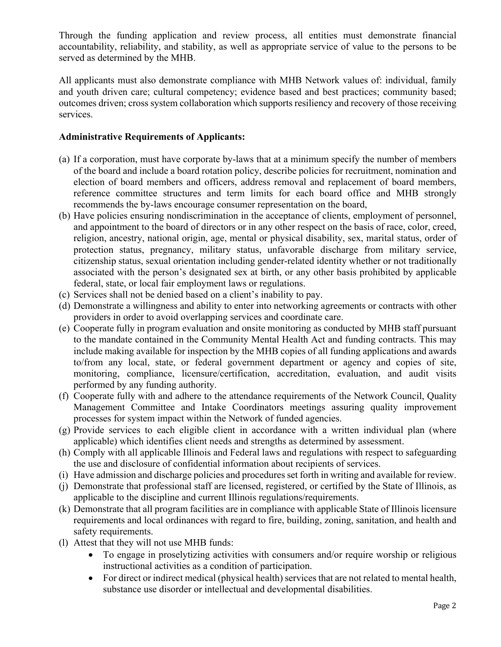Through the funding application and review process, all entities must demonstrate financial accountability, reliability, and stability, as well as appropriate service of value to the persons to be served as determined by the MHB.

 All applicants must also demonstrate compliance with MHB Network values of: individual, family and youth driven care; cultural competency; evidence based and best practices; community based; outcomes driven; cross system collaboration which supports resiliency and recovery of those receiving services.

# **Administrative Requirements of Applicants:**

- (a) If a corporation, must have corporate by-laws that at a minimum specify the number of members of the board and include a board rotation policy, describe policies for recruitment, nomination and election of board members and officers, address removal and replacement of board members, reference committee structures and term limits for each board office and MHB strongly recommends the by-laws encourage consumer representation on the board,
- (b) Have policies ensuring nondiscrimination in the acceptance of clients, employment of personnel, and appointment to the board of directors or in any other respect on the basis of race, color, creed, religion, ancestry, national origin, age, mental or physical disability, sex, marital status, order of protection status, pregnancy, military status, unfavorable discharge from military service, citizenship status, sexual orientation including gender-related identity whether or not traditionally associated with the person's designated sex at birth, or any other basis prohibited by applicable federal, state, or local fair employment laws or regulations.
- (c) Services shall not be denied based on a client's inability to pay.
- (d) Demonstrate a willingness and ability to enter into networking agreements or contracts with other providers in order to avoid overlapping services and coordinate care.
- (e) Cooperate fully in program evaluation and onsite monitoring as conducted by MHB staff pursuant to the mandate contained in the Community Mental Health Act and funding contracts. This may include making available for inspection by the MHB copies of all funding applications and awards to/from any local, state, or federal government department or agency and copies of site, monitoring, compliance, licensure/certification, accreditation, evaluation, and audit visits performed by any funding authority.
- (f) Cooperate fully with and adhere to the attendance requirements of the Network Council, Quality Management Committee and Intake Coordinators meetings assuring quality improvement processes for system impact within the Network of funded agencies.
- (g) Provide services to each eligible client in accordance with a written individual plan (where applicable) which identifies client needs and strengths as determined by assessment.
- (h) Comply with all applicable Illinois and Federal laws and regulations with respect to safeguarding the use and disclosure of confidential information about recipients of services.
- (i) Have admission and discharge policies and procedures set forth in writing and available for review.
- (j) Demonstrate that professional staff are licensed, registered, or certified by the State of Illinois, as applicable to the discipline and current Illinois regulations/requirements.
- (k) Demonstrate that all program facilities are in compliance with applicable State of Illinois licensure requirements and local ordinances with regard to fire, building, zoning, sanitation, and health and safety requirements.
- (l) Attest that they will not use MHB funds:
	- To engage in proselytizing activities with consumers and/or require worship or religious instructional activities as a condition of participation.
	- For direct or indirect medical (physical health) services that are not related to mental health, substance use disorder or intellectual and developmental disabilities.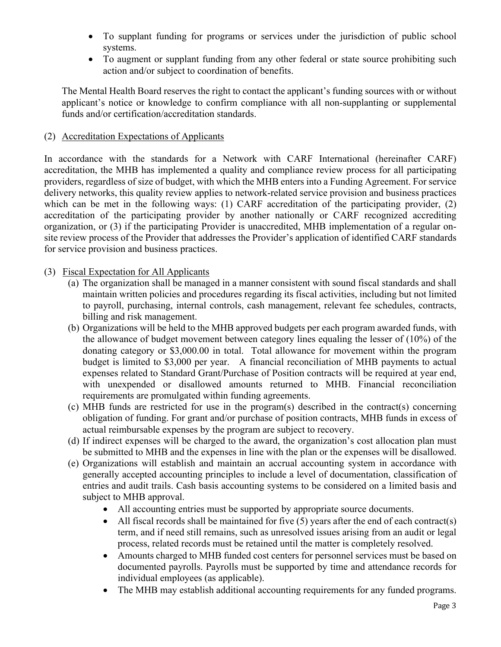- To supplant funding for programs or services under the jurisdiction of public school systems.
- To augment or supplant funding from any other federal or state source prohibiting such action and/or subject to coordination of benefits.

The Mental Health Board reserves the right to contact the applicant's funding sources with or without applicant's notice or knowledge to confirm compliance with all non-supplanting or supplemental funds and/or certification/accreditation standards.

# (2) Accreditation Expectations of Applicants

In accordance with the standards for a Network with CARF International (hereinafter CARF) accreditation, the MHB has implemented a quality and compliance review process for all participating providers, regardless of size of budget, with which the MHB enters into a Funding Agreement. For service delivery networks, this quality review applies to network-related service provision and business practices which can be met in the following ways: (1) CARF accreditation of the participating provider, (2) accreditation of the participating provider by another nationally or CARF recognized accrediting organization, or (3) if the participating Provider is unaccredited, MHB implementation of a regular onsite review process of the Provider that addresses the Provider's application of identified CARF standards for service provision and business practices.

# (3) Fiscal Expectation for All Applicants

- (a) The organization shall be managed in a manner consistent with sound fiscal standards and shall maintain written policies and procedures regarding its fiscal activities, including but not limited to payroll, purchasing, internal controls, cash management, relevant fee schedules, contracts, billing and risk management.
- (b) Organizations will be held to the MHB approved budgets per each program awarded funds, with the allowance of budget movement between category lines equaling the lesser of (10%) of the donating category or \$3,000.00 in total. Total allowance for movement within the program budget is limited to \$3,000 per year. A financial reconciliation of MHB payments to actual expenses related to Standard Grant/Purchase of Position contracts will be required at year end, with unexpended or disallowed amounts returned to MHB. Financial reconciliation requirements are promulgated within funding agreements.
- (c) MHB funds are restricted for use in the program(s) described in the contract(s) concerning obligation of funding. For grant and/or purchase of position contracts, MHB funds in excess of actual reimbursable expenses by the program are subject to recovery.
- (d) If indirect expenses will be charged to the award, the organization's cost allocation plan must be submitted to MHB and the expenses in line with the plan or the expenses will be disallowed.
- (e) Organizations will establish and maintain an accrual accounting system in accordance with generally accepted accounting principles to include a level of documentation, classification of entries and audit trails. Cash basis accounting systems to be considered on a limited basis and subject to MHB approval.
	- All accounting entries must be supported by appropriate source documents.
	- All fiscal records shall be maintained for five  $(5)$  years after the end of each contract(s) term, and if need still remains, such as unresolved issues arising from an audit or legal process, related records must be retained until the matter is completely resolved.
	- Amounts charged to MHB funded cost centers for personnel services must be based on documented payrolls. Payrolls must be supported by time and attendance records for individual employees (as applicable).
	- The MHB may establish additional accounting requirements for any funded programs.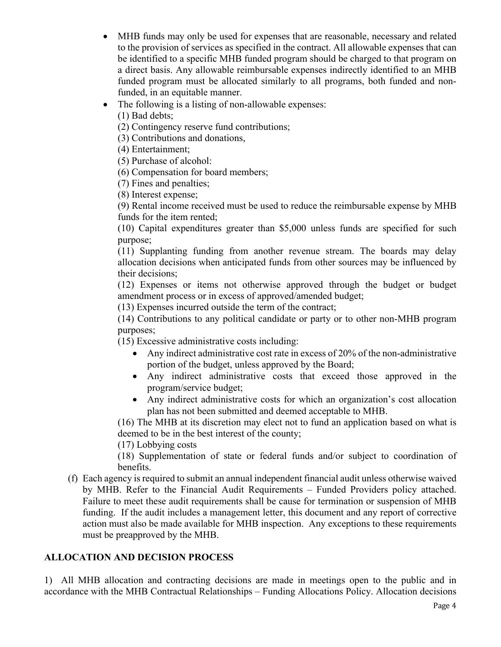- MHB funds may only be used for expenses that are reasonable, necessary and related to the provision of services as specified in the contract. All allowable expenses that can be identified to a specific MHB funded program should be charged to that program on a direct basis. Any allowable reimbursable expenses indirectly identified to an MHB funded program must be allocated similarly to all programs, both funded and nonfunded, in an equitable manner.
- The following is a listing of non-allowable expenses:
	- (1) Bad debts;
	- (2) Contingency reserve fund contributions;
	- (3) Contributions and donations,
	- (4) Entertainment;
	- (5) Purchase of alcohol:
	- (6) Compensation for board members;
	- (7) Fines and penalties;
	- (8) Interest expense;

(9) Rental income received must be used to reduce the reimbursable expense by MHB funds for the item rented;

(10) Capital expenditures greater than \$5,000 unless funds are specified for such purpose;

(11) Supplanting funding from another revenue stream. The boards may delay allocation decisions when anticipated funds from other sources may be influenced by their decisions;

(12) Expenses or items not otherwise approved through the budget or budget amendment process or in excess of approved/amended budget;

(13) Expenses incurred outside the term of the contract;

(14) Contributions to any political candidate or party or to other non-MHB program purposes;

(15) Excessive administrative costs including:

- Any indirect administrative cost rate in excess of 20% of the non-administrative portion of the budget, unless approved by the Board;
- Any indirect administrative costs that exceed those approved in the program/service budget;
- Any indirect administrative costs for which an organization's cost allocation plan has not been submitted and deemed acceptable to MHB.

(16) The MHB at its discretion may elect not to fund an application based on what is deemed to be in the best interest of the county;

(17) Lobbying costs

(18) Supplementation of state or federal funds and/or subject to coordination of benefits.

(f) Each agency is required to submit an annual independent financial audit unless otherwise waived by MHB. Refer to the Financial Audit Requirements – Funded Providers policy attached. Failure to meet these audit requirements shall be cause for termination or suspension of MHB funding. If the audit includes a management letter, this document and any report of corrective action must also be made available for MHB inspection. Any exceptions to these requirements must be preapproved by the MHB.

# **ALLOCATION AND DECISION PROCESS**

1) All MHB allocation and contracting decisions are made in meetings open to the public and in accordance with the MHB Contractual Relationships – Funding Allocations Policy. Allocation decisions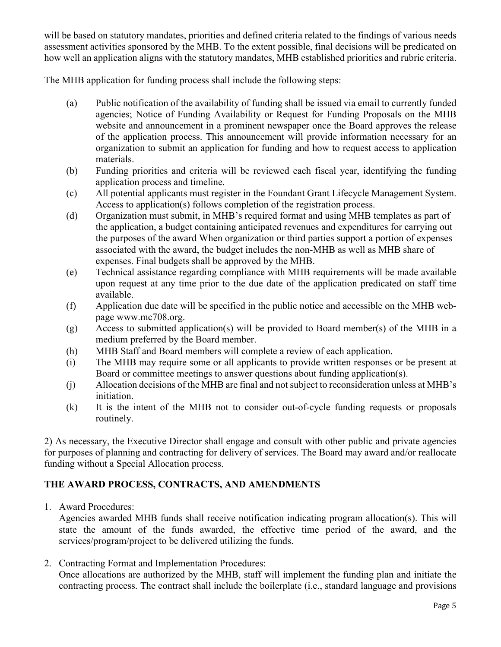will be based on statutory mandates, priorities and defined criteria related to the findings of various needs assessment activities sponsored by the MHB. To the extent possible, final decisions will be predicated on how well an application aligns with the statutory mandates, MHB established priorities and rubric criteria.

The MHB application for funding process shall include the following steps:

- (a) Public notification of the availability of funding shall be issued via email to currently funded agencies; Notice of Funding Availability or Request for Funding Proposals on the MHB website and announcement in a prominent newspaper once the Board approves the release of the application process. This announcement will provide information necessary for an organization to submit an application for funding and how to request access to application materials.
- (b) Funding priorities and criteria will be reviewed each fiscal year, identifying the funding application process and timeline.
- (c) All potential applicants must register in the Foundant Grant Lifecycle Management System. Access to application(s) follows completion of the registration process.
- (d) Organization must submit, in MHB's required format and using MHB templates as part of the application, a budget containing anticipated revenues and expenditures for carrying out the purposes of the award When organization or third parties support a portion of expenses associated with the award, the budget includes the non-MHB as well as MHB share of expenses. Final budgets shall be approved by the MHB.
- (e) Technical assistance regarding compliance with MHB requirements will be made available upon request at any time prior to the due date of the application predicated on staff time available.
- (f) Application due date will be specified in the public notice and accessible on the MHB webpage www.mc708.org.
- (g) Access to submitted application(s) will be provided to Board member(s) of the MHB in a medium preferred by the Board member.
- (h) MHB Staff and Board members will complete a review of each application.
- (i) The MHB may require some or all applicants to provide written responses or be present at Board or committee meetings to answer questions about funding application(s).
- (j) Allocation decisions of the MHB are final and not subject to reconsideration unless at MHB's initiation.
- (k) It is the intent of the MHB not to consider out-of-cycle funding requests or proposals routinely.

2) As necessary, the Executive Director shall engage and consult with other public and private agencies for purposes of planning and contracting for delivery of services. The Board may award and/or reallocate funding without a Special Allocation process.

# **THE AWARD PROCESS, CONTRACTS, AND AMENDMENTS**

1. Award Procedures:

Agencies awarded MHB funds shall receive notification indicating program allocation(s). This will state the amount of the funds awarded, the effective time period of the award, and the services/program/project to be delivered utilizing the funds.

2. Contracting Format and Implementation Procedures:

Once allocations are authorized by the MHB, staff will implement the funding plan and initiate the contracting process. The contract shall include the boilerplate (i.e., standard language and provisions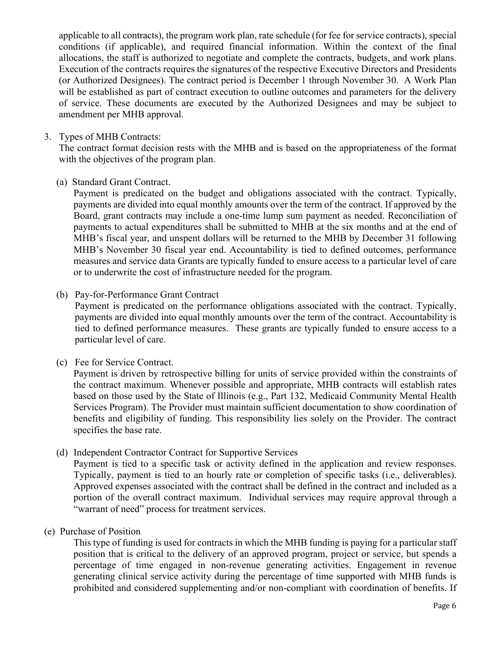applicable to all contracts), the program work plan, rate schedule (for fee for service contracts), special conditions (if applicable), and required financial information. Within the context of the final allocations, the staff is authorized to negotiate and complete the contracts, budgets, and work plans. Execution of the contracts requires the signatures of the respective Executive Directors and Presidents (or Authorized Designees). The contract period is December 1 through November 30. A Work Plan will be established as part of contract execution to outline outcomes and parameters for the delivery of service. These documents are executed by the Authorized Designees and may be subject to amendment per MHB approval.

## 3. Types of MHB Contracts:

The contract format decision rests with the MHB and is based on the appropriateness of the format with the objectives of the program plan.

(a) Standard Grant Contract.

Payment is predicated on the budget and obligations associated with the contract. Typically, payments are divided into equal monthly amounts over the term of the contract. If approved by the Board, grant contracts may include a one-time lump sum payment as needed. Reconciliation of payments to actual expenditures shall be submitted to MHB at the six months and at the end of MHB's fiscal year, and unspent dollars will be returned to the MHB by December 31 following MHB's November 30 fiscal year end. Accountability is tied to defined outcomes, performance measures and service data Grants are typically funded to ensure access to a particular level of care or to underwrite the cost of infrastructure needed for the program.

(b) Pay-for-Performance Grant Contract

Payment is predicated on the performance obligations associated with the contract. Typically, payments are divided into equal monthly amounts over the term of the contract. Accountability is tied to defined performance measures. These grants are typically funded to ensure access to a particular level of care.

## (c) Fee for Service Contract.

Payment is driven by retrospective billing for units of service provided within the constraints of the contract maximum. Whenever possible and appropriate, MHB contracts will establish rates based on those used by the State of Illinois (e.g., Part 132, Medicaid Community Mental Health Services Program). The Provider must maintain sufficient documentation to show coordination of benefits and eligibility of funding. This responsibility lies solely on the Provider. The contract specifies the base rate.

(d) Independent Contractor Contract for Supportive Services

Payment is tied to a specific task or activity defined in the application and review responses. Typically, payment is tied to an hourly rate or completion of specific tasks (i.e., deliverables). Approved expenses associated with the contract shall be defined in the contract and included as a portion of the overall contract maximum. Individual services may require approval through a "warrant of need" process for treatment services.

## (e) Purchase of Position

This type of funding is used for contracts in which the MHB funding is paying for a particular staff position that is critical to the delivery of an approved program, project or service, but spends a percentage of time engaged in non-revenue generating activities. Engagement in revenue generating clinical service activity during the percentage of time supported with MHB funds is prohibited and considered supplementing and/or non-compliant with coordination of benefits. If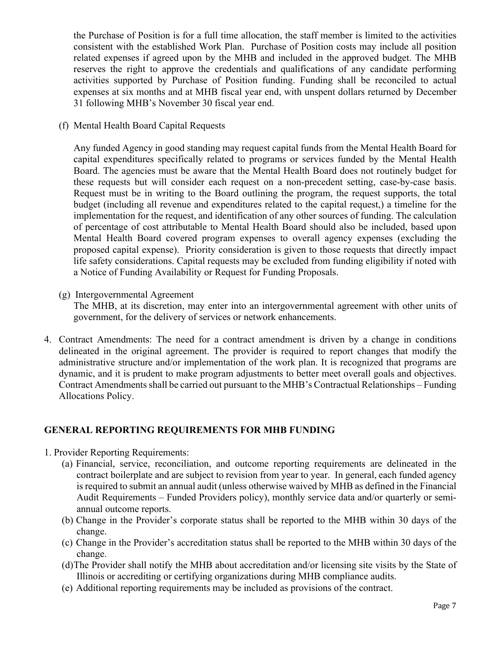the Purchase of Position is for a full time allocation, the staff member is limited to the activities consistent with the established Work Plan. Purchase of Position costs may include all position related expenses if agreed upon by the MHB and included in the approved budget. The MHB reserves the right to approve the credentials and qualifications of any candidate performing activities supported by Purchase of Position funding. Funding shall be reconciled to actual expenses at six months and at MHB fiscal year end, with unspent dollars returned by December 31 following MHB's November 30 fiscal year end.

(f) Mental Health Board Capital Requests

Any funded Agency in good standing may request capital funds from the Mental Health Board for capital expenditures specifically related to programs or services funded by the Mental Health Board. The agencies must be aware that the Mental Health Board does not routinely budget for these requests but will consider each request on a non-precedent setting, case-by-case basis. Request must be in writing to the Board outlining the program, the request supports, the total budget (including all revenue and expenditures related to the capital request,) a timeline for the implementation for the request, and identification of any other sources of funding. The calculation of percentage of cost attributable to Mental Health Board should also be included, based upon Mental Health Board covered program expenses to overall agency expenses (excluding the proposed capital expense). Priority consideration is given to those requests that directly impact life safety considerations. Capital requests may be excluded from funding eligibility if noted with a Notice of Funding Availability or Request for Funding Proposals.

(g) Intergovernmental Agreement

 The MHB, at its discretion, may enter into an intergovernmental agreement with other units of government, for the delivery of services or network enhancements.

4. Contract Amendments: The need for a contract amendment is driven by a change in conditions delineated in the original agreement. The provider is required to report changes that modify the administrative structure and/or implementation of the work plan. It is recognized that programs are dynamic, and it is prudent to make program adjustments to better meet overall goals and objectives. Contract Amendments shall be carried out pursuant to the MHB's Contractual Relationships – Funding Allocations Policy.

# **GENERAL REPORTING REQUIREMENTS FOR MHB FUNDING**

- 1. Provider Reporting Requirements:
	- (a) Financial, service, reconciliation, and outcome reporting requirements are delineated in the contract boilerplate and are subject to revision from year to year. In general, each funded agency is required to submit an annual audit (unless otherwise waived by MHB as defined in the Financial Audit Requirements – Funded Providers policy), monthly service data and/or quarterly or semiannual outcome reports.
	- (b) Change in the Provider's corporate status shall be reported to the MHB within 30 days of the change.
	- (c) Change in the Provider's accreditation status shall be reported to the MHB within 30 days of the change.
	- (d)The Provider shall notify the MHB about accreditation and/or licensing site visits by the State of Illinois or accrediting or certifying organizations during MHB compliance audits.
	- (e) Additional reporting requirements may be included as provisions of the contract.